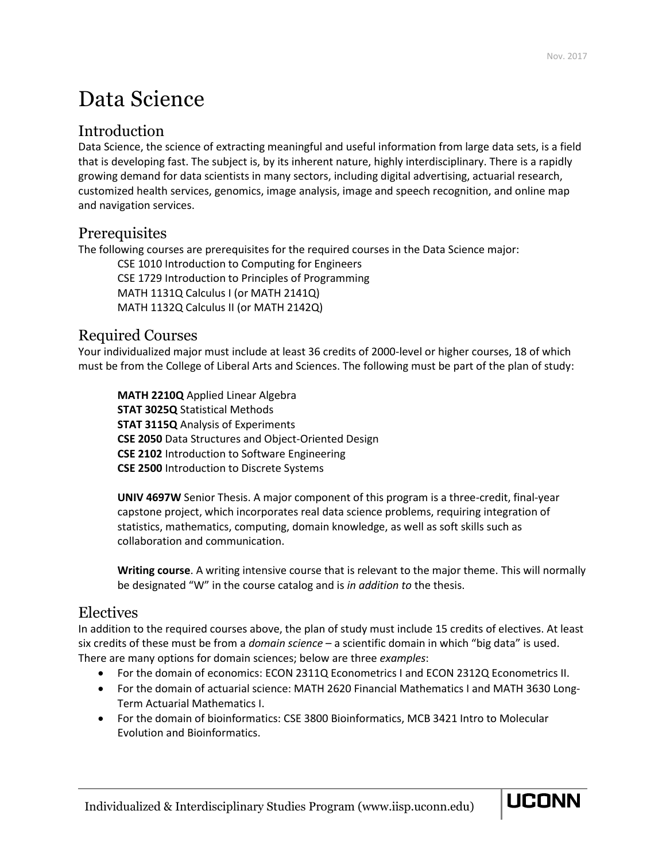# Data Science

# Introduction

Data Science, the science of extracting meaningful and useful information from large data sets, is a field that is developing fast. The subject is, by its inherent nature, highly interdisciplinary. There is a rapidly growing demand for data scientists in many sectors, including digital advertising, actuarial research, customized health services, genomics, image analysis, image and speech recognition, and online map and navigation services.

## **Prerequisites**

The following courses are prerequisites for the required courses in the Data Science major:

CSE 1010 Introduction to Computing for Engineers CSE 1729 Introduction to Principles of Programming MATH 1131Q Calculus I (or MATH 2141Q) MATH 1132Q Calculus II (or MATH 2142Q)

## Required Courses

Your individualized major must include at least 36 credits of 2000-level or higher courses, 18 of which must be from the College of Liberal Arts and Sciences. The following must be part of the plan of study:

**MATH 2210Q** Applied Linear Algebra **STAT 3025Q** Statistical Methods **STAT 3115Q** Analysis of Experiments **CSE 2050** Data Structures and Object-Oriented Design **CSE 2102** Introduction to Software Engineering **CSE 2500** Introduction to Discrete Systems

**UNIV 4697W** Senior Thesis. A major component of this program is a three-credit, final-year capstone project, which incorporates real data science problems, requiring integration of statistics, mathematics, computing, domain knowledge, as well as soft skills such as collaboration and communication.

**Writing course**. A writing intensive course that is relevant to the major theme. This will normally be designated "W" in the course catalog and is *in addition to* the thesis.

## Electives

In addition to the required courses above, the plan of study must include 15 credits of electives. At least six credits of these must be from a *domain science* – a scientific domain in which "big data" is used. There are many options for domain sciences; below are three *examples*:

- For the domain of economics: ECON 2311Q Econometrics I and ECON 2312Q Econometrics II.
- For the domain of actuarial science: MATH 2620 Financial Mathematics I and MATH 3630 Long-Term Actuarial Mathematics I.
- For the domain of bioinformatics: CSE 3800 Bioinformatics, MCB 3421 Intro to Molecular Evolution and Bioinformatics.